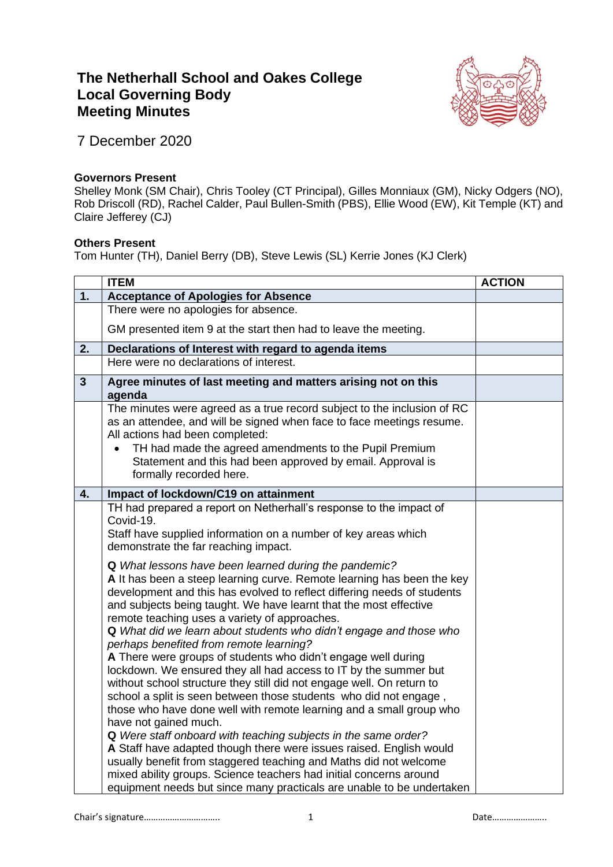## **The Netherhall School and Oakes College Local Governing Body Meeting Minutes**



7 December 2020

## **Governors Present**

Shelley Monk (SM Chair), Chris Tooley (CT Principal), Gilles Monniaux (GM), Nicky Odgers (NO), Rob Driscoll (RD), Rachel Calder, Paul Bullen-Smith (PBS), Ellie Wood (EW), Kit Temple (KT) and Claire Jefferey (CJ)

## **Others Present**

Tom Hunter (TH), Daniel Berry (DB), Steve Lewis (SL) Kerrie Jones (KJ Clerk)

|    | <b>ITEM</b>                                                                                                                                                                                                                                                                                                                                                                                                                                                                                                                                                                                                                                                                                                                                                                                                                                                                                                                                                                                                                                                                                                                                                                                                                                                                                                                                                                                    | <b>ACTION</b> |
|----|------------------------------------------------------------------------------------------------------------------------------------------------------------------------------------------------------------------------------------------------------------------------------------------------------------------------------------------------------------------------------------------------------------------------------------------------------------------------------------------------------------------------------------------------------------------------------------------------------------------------------------------------------------------------------------------------------------------------------------------------------------------------------------------------------------------------------------------------------------------------------------------------------------------------------------------------------------------------------------------------------------------------------------------------------------------------------------------------------------------------------------------------------------------------------------------------------------------------------------------------------------------------------------------------------------------------------------------------------------------------------------------------|---------------|
| 1. | <b>Acceptance of Apologies for Absence</b>                                                                                                                                                                                                                                                                                                                                                                                                                                                                                                                                                                                                                                                                                                                                                                                                                                                                                                                                                                                                                                                                                                                                                                                                                                                                                                                                                     |               |
|    | There were no apologies for absence.                                                                                                                                                                                                                                                                                                                                                                                                                                                                                                                                                                                                                                                                                                                                                                                                                                                                                                                                                                                                                                                                                                                                                                                                                                                                                                                                                           |               |
|    | GM presented item 9 at the start then had to leave the meeting.                                                                                                                                                                                                                                                                                                                                                                                                                                                                                                                                                                                                                                                                                                                                                                                                                                                                                                                                                                                                                                                                                                                                                                                                                                                                                                                                |               |
| 2. | Declarations of Interest with regard to agenda items                                                                                                                                                                                                                                                                                                                                                                                                                                                                                                                                                                                                                                                                                                                                                                                                                                                                                                                                                                                                                                                                                                                                                                                                                                                                                                                                           |               |
|    | Here were no declarations of interest.                                                                                                                                                                                                                                                                                                                                                                                                                                                                                                                                                                                                                                                                                                                                                                                                                                                                                                                                                                                                                                                                                                                                                                                                                                                                                                                                                         |               |
| 3  | Agree minutes of last meeting and matters arising not on this<br>agenda                                                                                                                                                                                                                                                                                                                                                                                                                                                                                                                                                                                                                                                                                                                                                                                                                                                                                                                                                                                                                                                                                                                                                                                                                                                                                                                        |               |
|    | The minutes were agreed as a true record subject to the inclusion of RC<br>as an attendee, and will be signed when face to face meetings resume.<br>All actions had been completed:<br>TH had made the agreed amendments to the Pupil Premium<br>Statement and this had been approved by email. Approval is<br>formally recorded here.                                                                                                                                                                                                                                                                                                                                                                                                                                                                                                                                                                                                                                                                                                                                                                                                                                                                                                                                                                                                                                                         |               |
| 4. | Impact of lockdown/C19 on attainment                                                                                                                                                                                                                                                                                                                                                                                                                                                                                                                                                                                                                                                                                                                                                                                                                                                                                                                                                                                                                                                                                                                                                                                                                                                                                                                                                           |               |
|    | TH had prepared a report on Netherhall's response to the impact of<br>Covid-19.<br>Staff have supplied information on a number of key areas which<br>demonstrate the far reaching impact.<br>Q What lessons have been learned during the pandemic?<br>A It has been a steep learning curve. Remote learning has been the key<br>development and this has evolved to reflect differing needs of students<br>and subjects being taught. We have learnt that the most effective<br>remote teaching uses a variety of approaches.<br>Q What did we learn about students who didn't engage and those who<br>perhaps benefited from remote learning?<br>A There were groups of students who didn't engage well during<br>lockdown. We ensured they all had access to IT by the summer but<br>without school structure they still did not engage well. On return to<br>school a split is seen between those students who did not engage,<br>those who have done well with remote learning and a small group who<br>have not gained much.<br>Q Were staff onboard with teaching subjects in the same order?<br>A Staff have adapted though there were issues raised. English would<br>usually benefit from staggered teaching and Maths did not welcome<br>mixed ability groups. Science teachers had initial concerns around<br>equipment needs but since many practicals are unable to be undertaken |               |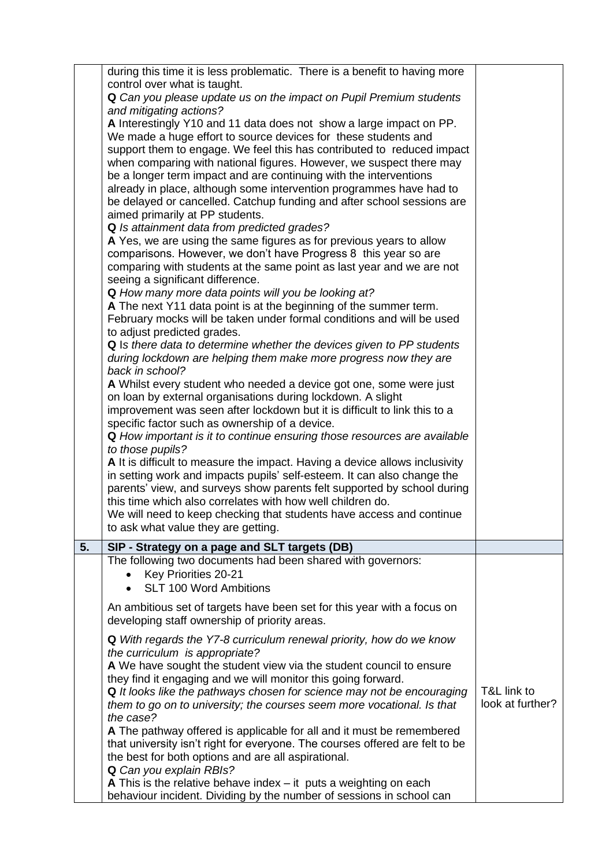|    | during this time it is less problematic. There is a benefit to having more<br>control over what is taught.<br>Q Can you please update us on the impact on Pupil Premium students<br>and mitigating actions?<br>A Interestingly Y10 and 11 data does not show a large impact on PP.<br>We made a huge effort to source devices for these students and<br>support them to engage. We feel this has contributed to reduced impact<br>when comparing with national figures. However, we suspect there may<br>be a longer term impact and are continuing with the interventions<br>already in place, although some intervention programmes have had to<br>be delayed or cancelled. Catchup funding and after school sessions are<br>aimed primarily at PP students.<br>Q Is attainment data from predicted grades?<br>A Yes, we are using the same figures as for previous years to allow |                                 |
|----|--------------------------------------------------------------------------------------------------------------------------------------------------------------------------------------------------------------------------------------------------------------------------------------------------------------------------------------------------------------------------------------------------------------------------------------------------------------------------------------------------------------------------------------------------------------------------------------------------------------------------------------------------------------------------------------------------------------------------------------------------------------------------------------------------------------------------------------------------------------------------------------|---------------------------------|
|    | comparisons. However, we don't have Progress 8 this year so are<br>comparing with students at the same point as last year and we are not<br>seeing a significant difference.<br><b>Q</b> How many more data points will you be looking at?<br>A The next Y11 data point is at the beginning of the summer term.<br>February mocks will be taken under formal conditions and will be used<br>to adjust predicted grades.<br>Q Is there data to determine whether the devices given to PP students<br>during lockdown are helping them make more progress now they are                                                                                                                                                                                                                                                                                                                 |                                 |
|    | back in school?<br>A Whilst every student who needed a device got one, some were just<br>on loan by external organisations during lockdown. A slight<br>improvement was seen after lockdown but it is difficult to link this to a<br>specific factor such as ownership of a device.<br>Q How important is it to continue ensuring those resources are available<br>to those pupils?<br>A It is difficult to measure the impact. Having a device allows inclusivity                                                                                                                                                                                                                                                                                                                                                                                                                   |                                 |
|    | in setting work and impacts pupils' self-esteem. It can also change the<br>parents' view, and surveys show parents felt supported by school during<br>this time which also correlates with how well children do.<br>We will need to keep checking that students have access and continue<br>to ask what value they are getting.                                                                                                                                                                                                                                                                                                                                                                                                                                                                                                                                                      |                                 |
| 5. | SIP - Strategy on a page and SLT targets (DB)<br>The following two documents had been shared with governors:                                                                                                                                                                                                                                                                                                                                                                                                                                                                                                                                                                                                                                                                                                                                                                         |                                 |
|    | Key Priorities 20-21<br><b>SLT 100 Word Ambitions</b>                                                                                                                                                                                                                                                                                                                                                                                                                                                                                                                                                                                                                                                                                                                                                                                                                                |                                 |
|    | An ambitious set of targets have been set for this year with a focus on<br>developing staff ownership of priority areas.                                                                                                                                                                                                                                                                                                                                                                                                                                                                                                                                                                                                                                                                                                                                                             |                                 |
|    | Q With regards the Y7-8 curriculum renewal priority, how do we know<br>the curriculum is appropriate?<br>A We have sought the student view via the student council to ensure<br>they find it engaging and we will monitor this going forward.<br>Q It looks like the pathways chosen for science may not be encouraging<br>them to go on to university; the courses seem more vocational. Is that<br>the case?<br>A The pathway offered is applicable for all and it must be remembered<br>that university isn't right for everyone. The courses offered are felt to be<br>the best for both options and are all aspirational.<br>Q Can you explain RBIs?                                                                                                                                                                                                                            | T&L link to<br>look at further? |
|    | A This is the relative behave index $-$ it puts a weighting on each<br>behaviour incident. Dividing by the number of sessions in school can                                                                                                                                                                                                                                                                                                                                                                                                                                                                                                                                                                                                                                                                                                                                          |                                 |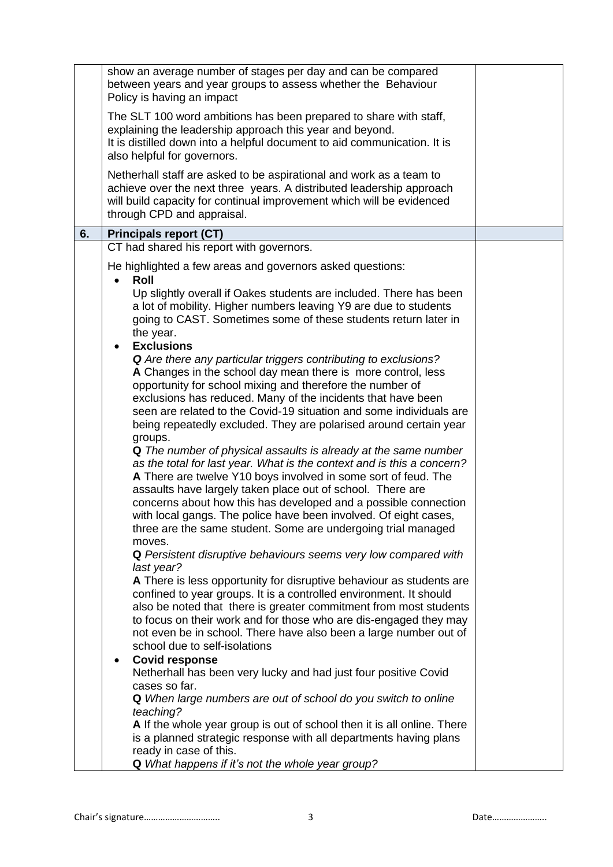|    | show an average number of stages per day and can be compared<br>between years and year groups to assess whether the Behaviour<br>Policy is having an impact                                                                                                                                                                                                                                                                                                                                                                                                                                                                                                                                                                                                                                                                                    |  |
|----|------------------------------------------------------------------------------------------------------------------------------------------------------------------------------------------------------------------------------------------------------------------------------------------------------------------------------------------------------------------------------------------------------------------------------------------------------------------------------------------------------------------------------------------------------------------------------------------------------------------------------------------------------------------------------------------------------------------------------------------------------------------------------------------------------------------------------------------------|--|
|    | The SLT 100 word ambitions has been prepared to share with staff,<br>explaining the leadership approach this year and beyond.<br>It is distilled down into a helpful document to aid communication. It is<br>also helpful for governors.                                                                                                                                                                                                                                                                                                                                                                                                                                                                                                                                                                                                       |  |
|    | Netherhall staff are asked to be aspirational and work as a team to<br>achieve over the next three years. A distributed leadership approach<br>will build capacity for continual improvement which will be evidenced<br>through CPD and appraisal.                                                                                                                                                                                                                                                                                                                                                                                                                                                                                                                                                                                             |  |
| 6. | <b>Principals report (CT)</b>                                                                                                                                                                                                                                                                                                                                                                                                                                                                                                                                                                                                                                                                                                                                                                                                                  |  |
|    | CT had shared his report with governors.                                                                                                                                                                                                                                                                                                                                                                                                                                                                                                                                                                                                                                                                                                                                                                                                       |  |
|    | He highlighted a few areas and governors asked questions:<br>Roll                                                                                                                                                                                                                                                                                                                                                                                                                                                                                                                                                                                                                                                                                                                                                                              |  |
|    | Up slightly overall if Oakes students are included. There has been<br>a lot of mobility. Higher numbers leaving Y9 are due to students<br>going to CAST. Sometimes some of these students return later in<br>the year.<br><b>Exclusions</b>                                                                                                                                                                                                                                                                                                                                                                                                                                                                                                                                                                                                    |  |
|    | <b>Q</b> Are there any particular triggers contributing to exclusions?<br>A Changes in the school day mean there is more control, less<br>opportunity for school mixing and therefore the number of<br>exclusions has reduced. Many of the incidents that have been<br>seen are related to the Covid-19 situation and some individuals are<br>being repeatedly excluded. They are polarised around certain year<br>groups.<br>Q The number of physical assaults is already at the same number<br>as the total for last year. What is the context and is this a concern?<br>A There are twelve Y10 boys involved in some sort of feud. The<br>assaults have largely taken place out of school. There are<br>concerns about how this has developed and a possible connection<br>with local gangs. The police have been involved. Of eight cases, |  |
|    | three are the same student. Some are undergoing trial managed<br>moves.<br>Q Persistent disruptive behaviours seems very low compared with<br>last year?<br>A There is less opportunity for disruptive behaviour as students are<br>confined to year groups. It is a controlled environment. It should<br>also be noted that there is greater commitment from most students<br>to focus on their work and for those who are dis-engaged they may<br>not even be in school. There have also been a large number out of<br>school due to self-isolations                                                                                                                                                                                                                                                                                         |  |
|    | <b>Covid response</b><br>$\bullet$<br>Netherhall has been very lucky and had just four positive Covid<br>cases so far.<br>Q When large numbers are out of school do you switch to online<br>teaching?<br>A If the whole year group is out of school then it is all online. There<br>is a planned strategic response with all departments having plans                                                                                                                                                                                                                                                                                                                                                                                                                                                                                          |  |
|    | ready in case of this.<br>Q What happens if it's not the whole year group?                                                                                                                                                                                                                                                                                                                                                                                                                                                                                                                                                                                                                                                                                                                                                                     |  |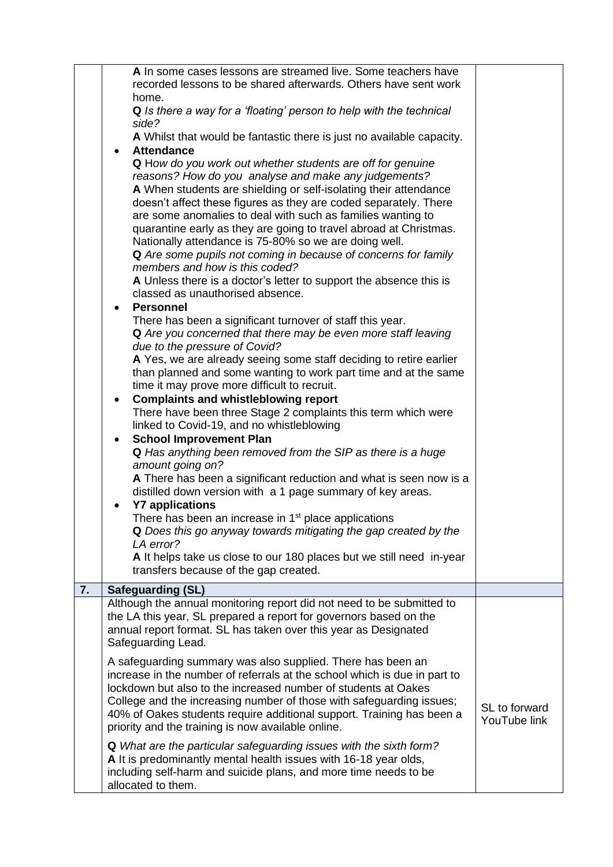|    | A In some cases lessons are streamed live. Some teachers have<br>recorded lessons to be shared afterwards. Others have sent work              |  |
|----|-----------------------------------------------------------------------------------------------------------------------------------------------|--|
|    | home.<br>Q Is there a way for a 'floating' person to help with the technical                                                                  |  |
|    | side?                                                                                                                                         |  |
|    | A Whilst that would be fantastic there is just no available capacity.                                                                         |  |
|    | <b>Attendance</b><br>$\bullet$<br>Q How do you work out whether students are off for genuine                                                  |  |
|    | reasons? How do you analyse and make any judgements?                                                                                          |  |
|    | A When students are shielding or self-isolating their attendance<br>doesn't affect these figures as they are coded separately. There          |  |
|    | are some anomalies to deal with such as families wanting to                                                                                   |  |
|    | quarantine early as they are going to travel abroad at Christmas.<br>Nationally attendance is 75-80% so we are doing well.                    |  |
|    | Q Are some pupils not coming in because of concerns for family                                                                                |  |
|    | members and how is this coded?                                                                                                                |  |
|    | A Unless there is a doctor's letter to support the absence this is<br>classed as unauthorised absence.                                        |  |
|    | <b>Personnel</b><br>$\bullet$                                                                                                                 |  |
|    | There has been a significant turnover of staff this year.<br>Q Are you concerned that there may be even more staff leaving                    |  |
|    | due to the pressure of Covid?                                                                                                                 |  |
|    | A Yes, we are already seeing some staff deciding to retire earlier                                                                            |  |
|    | than planned and some wanting to work part time and at the same<br>time it may prove more difficult to recruit.                               |  |
|    | <b>Complaints and whistleblowing report</b><br>$\bullet$                                                                                      |  |
|    | There have been three Stage 2 complaints this term which were<br>linked to Covid-19, and no whistleblowing                                    |  |
|    | <b>School Improvement Plan</b><br>$\bullet$                                                                                                   |  |
|    | Q Has anything been removed from the SIP as there is a huge<br>amount going on?                                                               |  |
|    | A There has been a significant reduction and what is seen now is a                                                                            |  |
|    | distilled down version with a 1 page summary of key areas.                                                                                    |  |
|    | <b>Y7 applications</b><br>$\bullet$<br>There has been an increase in 1 <sup>st</sup> place applications                                       |  |
|    | Q Does this go anyway towards mitigating the gap created by the                                                                               |  |
|    | LA error?<br>A It helps take us close to our 180 places but we still need in-year                                                             |  |
|    | transfers because of the gap created.                                                                                                         |  |
| 7. | <b>Safeguarding (SL)</b>                                                                                                                      |  |
|    | Although the annual monitoring report did not need to be submitted to<br>the LA this year, SL prepared a report for governors based on the    |  |
|    | annual report format. SL has taken over this year as Designated                                                                               |  |
|    | Safeguarding Lead.                                                                                                                            |  |
|    | A safeguarding summary was also supplied. There has been an<br>increase in the number of referrals at the school which is due in part to      |  |
|    | lockdown but also to the increased number of students at Oakes                                                                                |  |
|    | College and the increasing number of those with safeguarding issues;<br>40% of Oakes students require additional support. Training has been a |  |
|    | priority and the training is now available online.                                                                                            |  |
|    | <b>Q</b> What are the particular safeguarding issues with the sixth form?                                                                     |  |
|    | A It is predominantly mental health issues with 16-18 year olds,<br>including self-harm and suicide plans, and more time needs to be          |  |
|    | allocated to them.                                                                                                                            |  |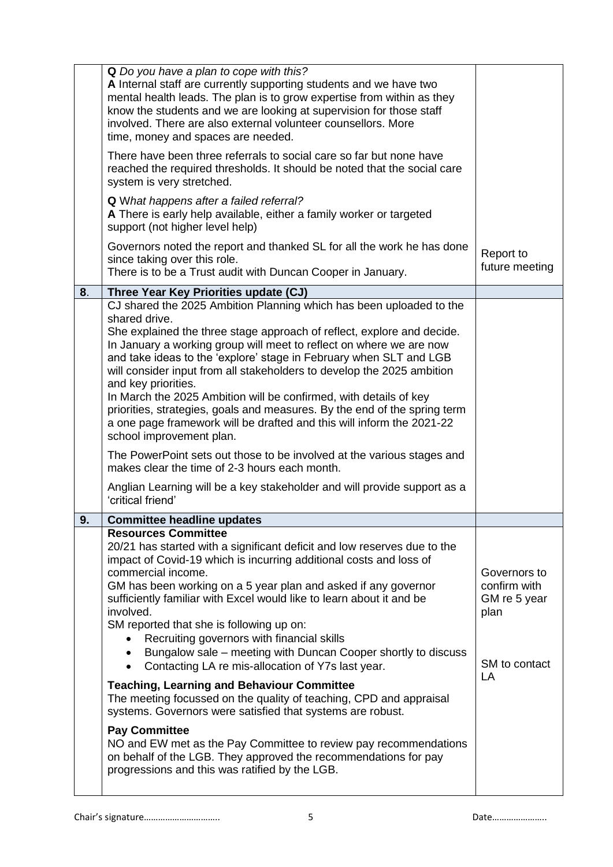|    | A Internal staff are currently supporting students and we have two<br>mental health leads. The plan is to grow expertise from within as they<br>know the students and we are looking at supervision for those staff<br>involved. There are also external volunteer counsellors. More<br>time, money and spaces are needed.<br>There have been three referrals to social care so far but none have<br>reached the required thresholds. It should be noted that the social care<br>system is very stretched.<br>Q What happens after a failed referral?<br>A There is early help available, either a family worker or targeted<br>support (not higher level help)<br>Governors noted the report and thanked SL for all the work he has done<br>since taking over this role.<br>There is to be a Trust audit with Duncan Cooper in January.                                                                                                                                                         | Report to<br>future meeting                                                 |
|----|--------------------------------------------------------------------------------------------------------------------------------------------------------------------------------------------------------------------------------------------------------------------------------------------------------------------------------------------------------------------------------------------------------------------------------------------------------------------------------------------------------------------------------------------------------------------------------------------------------------------------------------------------------------------------------------------------------------------------------------------------------------------------------------------------------------------------------------------------------------------------------------------------------------------------------------------------------------------------------------------------|-----------------------------------------------------------------------------|
| 8. | Three Year Key Priorities update (CJ)                                                                                                                                                                                                                                                                                                                                                                                                                                                                                                                                                                                                                                                                                                                                                                                                                                                                                                                                                            |                                                                             |
|    | CJ shared the 2025 Ambition Planning which has been uploaded to the<br>shared drive.<br>She explained the three stage approach of reflect, explore and decide.<br>In January a working group will meet to reflect on where we are now<br>and take ideas to the 'explore' stage in February when SLT and LGB<br>will consider input from all stakeholders to develop the 2025 ambition<br>and key priorities.<br>In March the 2025 Ambition will be confirmed, with details of key<br>priorities, strategies, goals and measures. By the end of the spring term<br>a one page framework will be drafted and this will inform the 2021-22<br>school improvement plan.                                                                                                                                                                                                                                                                                                                              |                                                                             |
|    | The PowerPoint sets out those to be involved at the various stages and<br>makes clear the time of 2-3 hours each month.                                                                                                                                                                                                                                                                                                                                                                                                                                                                                                                                                                                                                                                                                                                                                                                                                                                                          |                                                                             |
|    | Anglian Learning will be a key stakeholder and will provide support as a<br>'critical friend'                                                                                                                                                                                                                                                                                                                                                                                                                                                                                                                                                                                                                                                                                                                                                                                                                                                                                                    |                                                                             |
| 9. | <b>Committee headline updates</b>                                                                                                                                                                                                                                                                                                                                                                                                                                                                                                                                                                                                                                                                                                                                                                                                                                                                                                                                                                |                                                                             |
|    | <b>Resources Committee</b><br>20/21 has started with a significant deficit and low reserves due to the<br>impact of Covid-19 which is incurring additional costs and loss of<br>commercial income.<br>GM has been working on a 5 year plan and asked if any governor<br>sufficiently familiar with Excel would like to learn about it and be<br>involved.<br>SM reported that she is following up on:<br>Recruiting governors with financial skills<br>Bungalow sale – meeting with Duncan Cooper shortly to discuss<br>Contacting LA re mis-allocation of Y7s last year.<br>$\bullet$<br><b>Teaching, Learning and Behaviour Committee</b><br>The meeting focussed on the quality of teaching, CPD and appraisal<br>systems. Governors were satisfied that systems are robust.<br><b>Pay Committee</b><br>NO and EW met as the Pay Committee to review pay recommendations<br>on behalf of the LGB. They approved the recommendations for pay<br>progressions and this was ratified by the LGB. | Governors to<br>confirm with<br>GM re 5 year<br>plan<br>SM to contact<br>LA |